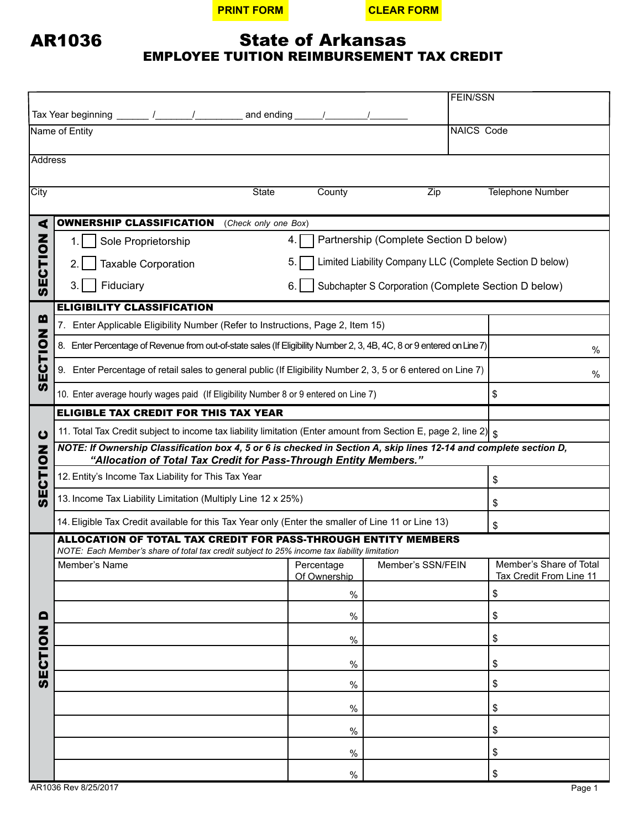**PRINT FORM CLEAR FORM**

## State of Arkansas EMPLOYEE TUITION REIMBURSEMENT TAX CREDIT

|                           |                                                                                                                                                                                                                                                                                                                                                                                                               |                                                     |                                        | <b>FEIN/SSN</b>                                          |  |  |  |  |  |
|---------------------------|---------------------------------------------------------------------------------------------------------------------------------------------------------------------------------------------------------------------------------------------------------------------------------------------------------------------------------------------------------------------------------------------------------------|-----------------------------------------------------|----------------------------------------|----------------------------------------------------------|--|--|--|--|--|
|                           | Tax Year beginning $\frac{1}{\sqrt{1-\frac{1}{2}}}\frac{1}{\sqrt{1-\frac{1}{2}}}\frac{1}{\sqrt{1-\frac{1}{2}}}\frac{1}{\sqrt{1-\frac{1}{2}}}\frac{1}{\sqrt{1-\frac{1}{2}}}\frac{1}{\sqrt{1-\frac{1}{2}}}\frac{1}{\sqrt{1-\frac{1}{2}}}\frac{1}{\sqrt{1-\frac{1}{2}}}\frac{1}{\sqrt{1-\frac{1}{2}}}\frac{1}{\sqrt{1-\frac{1}{2}}}\frac{1}{\sqrt{1-\frac{1}{2}}}\frac{1}{\sqrt{1-\frac{1}{2}}}\frac{1}{\sqrt{1$ |                                                     |                                        |                                                          |  |  |  |  |  |
|                           | Name of Entity                                                                                                                                                                                                                                                                                                                                                                                                |                                                     |                                        | <b>NAICS Code</b>                                        |  |  |  |  |  |
| Address                   |                                                                                                                                                                                                                                                                                                                                                                                                               |                                                     |                                        |                                                          |  |  |  |  |  |
| City                      | <b>State</b>                                                                                                                                                                                                                                                                                                                                                                                                  | County                                              | Zip                                    | <b>Telephone Number</b>                                  |  |  |  |  |  |
|                           |                                                                                                                                                                                                                                                                                                                                                                                                               |                                                     |                                        |                                                          |  |  |  |  |  |
| ⋖                         | <b>OWNERSHIP CLASSIFICATION</b><br>(Check only one Box)                                                                                                                                                                                                                                                                                                                                                       |                                                     |                                        |                                                          |  |  |  |  |  |
|                           | Sole Proprietorship<br>1.                                                                                                                                                                                                                                                                                                                                                                                     | 4.                                                  | Partnership (Complete Section D below) |                                                          |  |  |  |  |  |
|                           | <b>Taxable Corporation</b>                                                                                                                                                                                                                                                                                                                                                                                    | 5.                                                  |                                        | Limited Liability Company LLC (Complete Section D below) |  |  |  |  |  |
| <b>NOLLON</b>             | Fiduciary<br>3.<br>6.                                                                                                                                                                                                                                                                                                                                                                                         | Subchapter S Corporation (Complete Section D below) |                                        |                                                          |  |  |  |  |  |
|                           | <b>ELIGIBILITY CLASSIFICATION</b>                                                                                                                                                                                                                                                                                                                                                                             |                                                     |                                        |                                                          |  |  |  |  |  |
| m<br><b>SECTION</b>       | 7. Enter Applicable Eligibility Number (Refer to Instructions, Page 2, Item 15)                                                                                                                                                                                                                                                                                                                               |                                                     |                                        |                                                          |  |  |  |  |  |
|                           | 8. Enter Percentage of Revenue from out-of-state sales (If Eligibility Number 2, 3, 4B, 4C, 8 or 9 entered on Line 7)                                                                                                                                                                                                                                                                                         | $\%$                                                |                                        |                                                          |  |  |  |  |  |
|                           | 9. Enter Percentage of retail sales to general public (If Eligibility Number 2, 3, 5 or 6 entered on Line 7)                                                                                                                                                                                                                                                                                                  | %                                                   |                                        |                                                          |  |  |  |  |  |
|                           | 10. Enter average hourly wages paid (If Eligibility Number 8 or 9 entered on Line 7)                                                                                                                                                                                                                                                                                                                          | \$                                                  |                                        |                                                          |  |  |  |  |  |
| ပ<br>Z<br>SECTIO          | <b>ELIGIBLE TAX CREDIT FOR THIS TAX YEAR</b>                                                                                                                                                                                                                                                                                                                                                                  |                                                     |                                        |                                                          |  |  |  |  |  |
|                           | 11. Total Tax Credit subject to income tax liability limitation (Enter amount from Section E, page 2, line 2) $\frac{1}{s}$                                                                                                                                                                                                                                                                                   |                                                     |                                        |                                                          |  |  |  |  |  |
|                           | NOTE: If Ownership Classification box 4, 5 or 6 is checked in Section A, skip lines 12-14 and complete section D,<br>"Allocation of Total Tax Credit for Pass-Through Entity Members."                                                                                                                                                                                                                        |                                                     |                                        |                                                          |  |  |  |  |  |
|                           | 12. Entity's Income Tax Liability for This Tax Year                                                                                                                                                                                                                                                                                                                                                           | \$                                                  |                                        |                                                          |  |  |  |  |  |
|                           | 13. Income Tax Liability Limitation (Multiply Line 12 x 25%)                                                                                                                                                                                                                                                                                                                                                  | \$                                                  |                                        |                                                          |  |  |  |  |  |
|                           | 14. Eligible Tax Credit available for this Tax Year only (Enter the smaller of Line 11 or Line 13)                                                                                                                                                                                                                                                                                                            | \$                                                  |                                        |                                                          |  |  |  |  |  |
|                           | ALLOCATION OF TOTAL TAX CREDIT FOR PASS-THROUGH ENTITY MEMBERS<br>NOTE: Each Member's share of total tax credit subject to 25% income tax liability limitation                                                                                                                                                                                                                                                |                                                     |                                        |                                                          |  |  |  |  |  |
| $\blacksquare$<br>SECTION | Member's Name                                                                                                                                                                                                                                                                                                                                                                                                 | Of Ownership                                        | Percentage   Member's SSN/FEIN         | Member's Share of Total<br>Tax Credit From Line 11       |  |  |  |  |  |
|                           |                                                                                                                                                                                                                                                                                                                                                                                                               | $\%$                                                |                                        | \$                                                       |  |  |  |  |  |
|                           |                                                                                                                                                                                                                                                                                                                                                                                                               | $\%$                                                |                                        | \$                                                       |  |  |  |  |  |
|                           |                                                                                                                                                                                                                                                                                                                                                                                                               | $\%$                                                |                                        | \$                                                       |  |  |  |  |  |
|                           |                                                                                                                                                                                                                                                                                                                                                                                                               | $\%$                                                |                                        | \$                                                       |  |  |  |  |  |
|                           |                                                                                                                                                                                                                                                                                                                                                                                                               | $\%$                                                |                                        | \$                                                       |  |  |  |  |  |
|                           |                                                                                                                                                                                                                                                                                                                                                                                                               | $\%$                                                |                                        | \$                                                       |  |  |  |  |  |
|                           |                                                                                                                                                                                                                                                                                                                                                                                                               | $\%$                                                |                                        | \$                                                       |  |  |  |  |  |
|                           |                                                                                                                                                                                                                                                                                                                                                                                                               | $\%$                                                |                                        | \$                                                       |  |  |  |  |  |
|                           |                                                                                                                                                                                                                                                                                                                                                                                                               | $\%$                                                |                                        | $\,$                                                     |  |  |  |  |  |

AR1036